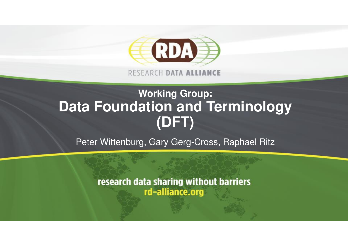

RESEARCH DATA ALLIANCE

#### **Working Group: Data Foundation and Terminology(DFT)**

Peter Wittenburg, Gary Gerg-Cross, Raphael Ritz

research data sharing without barriers rd-alliance.org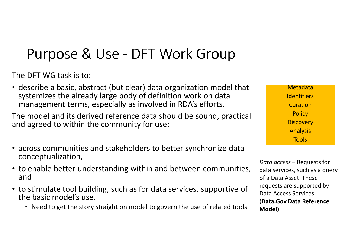# Purpose & Use - DFT Work Group

The DFT WG task is to:

• describe a basic, abstract (but clear) data organization model that systemizes the already large body of definition work on data management terms, especially as involved in RDA's efforts.

The model and its derived reference data should be sound, practical and agreed to within the community for use:

- across communities and stakeholders to better synchronize data conceptualization,
- to enable better understanding within and between communities, and
- to stimulate tool building, such as for data services, supportive of the basic model's use.
	- Need to get the story straight on model to govern the use of related tools.

Metadata**Identifiers Curation**  Policy**Discovery** AnalysisTools

Data access – Requests for data services, such as a query of a Data Asset. These requests are supported by Data Access Services (Data.Gov Data Reference Model)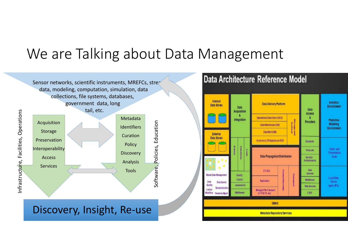#### We are Talking about Data Management

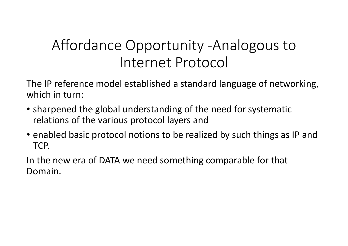#### Affordance Opportunity -Analogous to Internet Protocol

The IP reference model established a standard language of networking, which in turn:

- sharpened the global understanding of the need for systematic relations of the various protocol layers and
- enabled basic protocol notions to be realized by such things as IP and TCP.

In the new era of DATA we need something comparable for that Domain.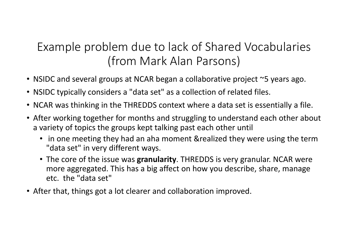#### Example problem due to lack of Shared Vocabularies(from Mark Alan Parsons)

- NSIDC and several groups at NCAR began a collaborative project ~5 years ago.
- NSIDC typically considers a "data set" as a collection of related files.
- NCAR was thinking in the THREDDS context where a data set is essentially a file.
- After working together for months and struggling to understand each other about a variety of topics the groups kept talking past each other until
	- in one meeting they had an aha moment &realized they were using the term "data set" in very different ways.
	- The core of the issue was **granularity**. THREDDS is very granular. NCAR were more aggregated. This has a big affect on how you describe, share, manage etc. the "data set"
- After that, things got a lot clearer and collaboration improved.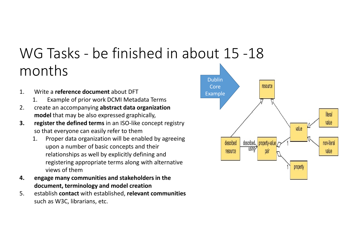#### WG Tasks - be finished in about 15 -18 months

- 1. Write a **reference document** about DFT<br>1 Example of prior work DCMI Metac
	- Example of prior work DCMI Metadata Terms
- 2. create an accompanying abstract data organization model that may be also expressed graphically,
- **3.** register the defined terms in an ISO-like concept registry so that everyone can easily refer to them
	- 1. Proper data organization will be enabled by agreeing upon a number of basic concepts and their relationships as well by explicitly defining and registering appropriate terms along with alternative views of them
- 4. engage many communities and stakeholders in the document, terminology and model creation
- 5. establish contact with established, relevant communities such as W3C, librarians, etc.

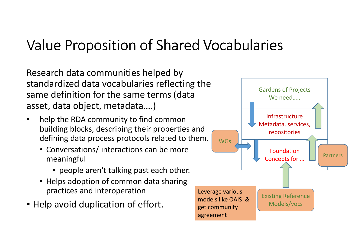## Value Proposition of Shared Vocabularies

Research data communities helped by standardized data vocabularies reflecting the same definition for the same terms (data asset, data object, metadata….)

- $\bullet$  help the RDA community to find common building blocks, describing their properties and defining data process protocols related to them.
	- Conversations/ interactions can be more meaningful
		- people aren't talking past each other.
	- Helps adoption of common data sharing practices and interoperation
- Help avoid duplication of effort.

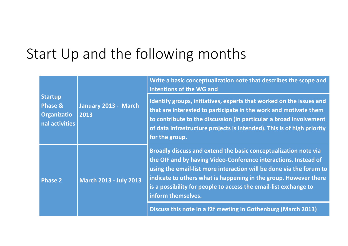#### Start Up and the following months

| <b>Startup</b><br><b>Phase &amp;</b><br><b>Organizatio</b><br>nal activities | January 2013 - March<br>2013  | Write a basic conceptualization note that describes the scope and<br>intentions of the WG and                                                                                                                                                                                                                                                                           |
|------------------------------------------------------------------------------|-------------------------------|-------------------------------------------------------------------------------------------------------------------------------------------------------------------------------------------------------------------------------------------------------------------------------------------------------------------------------------------------------------------------|
|                                                                              |                               | Identify groups, initiatives, experts that worked on the issues and<br>that are interested to participate in the work and motivate them<br>to contribute to the discussion (in particular a broad involvement<br>of data infrastructure projects is intended). This is of high priority<br>for the group.                                                               |
| <b>Phase 2</b>                                                               | <b>March 2013 - July 2013</b> | Broadly discuss and extend the basic conceptualization note via<br>the OIF and by having Video-Conference interactions. Instead of<br>using the email-list more interaction will be done via the forum to<br>indicate to others what is happening in the group. However there<br>is a possibility for people to access the email-list exchange to<br>inform themselves. |
|                                                                              |                               | Discuss this note in a f2f meeting in Gothenburg (March 2013)                                                                                                                                                                                                                                                                                                           |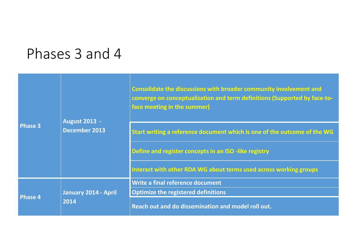#### Phases 3 and 4

| <b>Phase 3</b> | <b>August 2013 -</b><br><b>December 2013</b> | Consolidate the discussions with broader community involvement and<br>converge on conceptualization and term definitions (Supported by face-to-<br>face meeting in the summer) |
|----------------|----------------------------------------------|--------------------------------------------------------------------------------------------------------------------------------------------------------------------------------|
|                |                                              | Start writing a reference document which is one of the outcome of the WG                                                                                                       |
|                |                                              | Define and register concepts in an ISO -like registry                                                                                                                          |
|                |                                              | Interact with other RDA WG about terms used across working groups                                                                                                              |
| <b>Phase 4</b> | January 2014 - April<br>2014                 | Write a final reference document                                                                                                                                               |
|                |                                              | <b>Optimize the registered definitions</b>                                                                                                                                     |
|                |                                              | Reach out and do dissemination and model roll out.                                                                                                                             |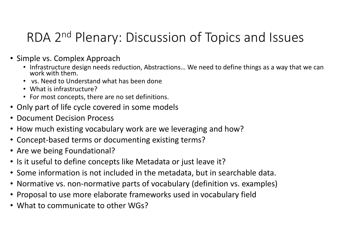#### RDA 2<sup>nd</sup> Plenary: Discussion of Topics and Issues

- Simple vs. Complex Approach
	- Infrastructure design needs reduction, Abstractions... We need to define things as a way that we can work with them.
	- vs. Need to Understand what has been done
	- What is infrastructure?
	- For most concepts, there are no set definitions.
- Only part of life cycle covered in some models
- Document Decision Process
- How much existing vocabulary work are we leveraging and how?
- Concept-based terms or documenting existing terms?
- Are we being Foundational?
- Is it useful to define concepts like Metadata or just leave it?
- Some information is not included in the metadata, but in searchable data.
- Normative vs. non-normative parts of vocabulary (definition vs. examples)
- Proposal to use more elaborate frameworks used in vocabulary field
- What to communicate to other WGs?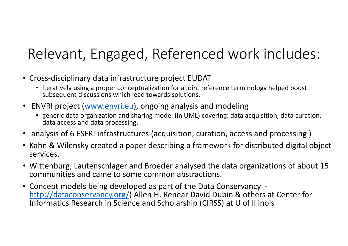## Relevant, Engaged, Referenced work includes:

- Cross-disciplinary data infrastructure project EUDAT
	- iteratively using a proper conceptualization for a joint reference terminology helped boost subsequent discussions which lead towards solutions.
- ENVRI project (www.envri.eu), ongoing analysis and modeling
	- generic data organization and sharing model (in UML) covering: data acquisition, data curation, data access and data processing.
- analysis of 6 ESFRI infrastructures (acquisition, curation, access and processing )
- Kahn & Wilensky created a paper describing a framework for distributed digital object services.
- Wittenburg, Lautenschlager and Broeder analysed the data organizations of about 15 communities and came to some common abstractions.
- Concept models being developed as part of the Data Conservancy http://dataconservancy.org/) Allen H. Renear David Dubin & others at Center for Informatics Research in Science and Scholarship (CIRSS) at U of Illinois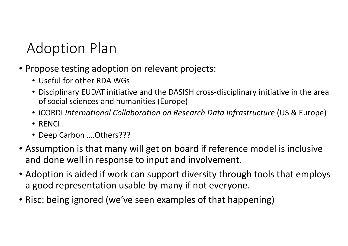### Adoption Plan

- Propose testing adoption on relevant projects:
	- Useful for other RDA WGs
	- Disciplinary EUDAT initiative and the DASISH cross-disciplinary initiative in the area of social sciences and humanities (Europe)
	- iCORDI International Collaboration on Research Data Infrastructure (US & Europe)
	- RENCI
	- Deep Carbon ….Others???
- Assumption is that many will get on board if reference model is inclusive and done well in response to input and involvement.
- Adoption is aided if work can support diversity through tools that employs a good representation usable by many if not everyone.
- Risc: being ignored (we've seen examples of that happening)